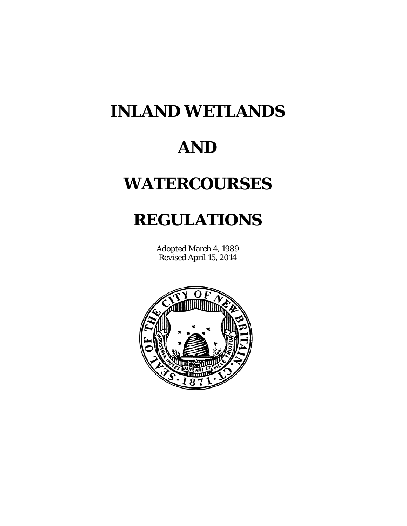# **INLAND WETLANDS**

# **AND**

# **WATERCOURSES**

# **REGULATIONS**

Adopted March 4, 1989 Revised April 15, 2014

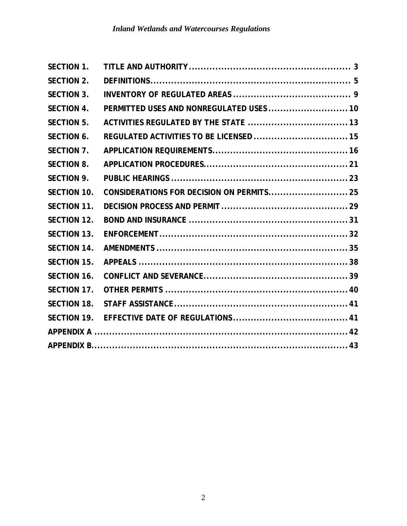| <b>SECTION 1.</b>  |                                           |  |
|--------------------|-------------------------------------------|--|
| <b>SECTION 2.</b>  |                                           |  |
| <b>SECTION 3.</b>  |                                           |  |
| <b>SECTION 4.</b>  | PERMITTED USES AND NONREGULATED USES  10  |  |
| <b>SECTION 5.</b>  |                                           |  |
| <b>SECTION 6.</b>  | REGULATED ACTIVITIES TO BE LICENSED  15   |  |
| <b>SECTION 7.</b>  |                                           |  |
| <b>SECTION 8.</b>  |                                           |  |
| <b>SECTION 9.</b>  |                                           |  |
| <b>SECTION 10.</b> | CONSIDERATIONS FOR DECISION ON PERMITS 25 |  |
| <b>SECTION 11.</b> |                                           |  |
| <b>SECTION 12.</b> |                                           |  |
| <b>SECTION 13.</b> |                                           |  |
| <b>SECTION 14.</b> |                                           |  |
| <b>SECTION 15.</b> |                                           |  |
| <b>SECTION 16.</b> |                                           |  |
| SECTION 17.        |                                           |  |
| <b>SECTION 18.</b> |                                           |  |
| <b>SECTION 19.</b> |                                           |  |
|                    |                                           |  |
|                    |                                           |  |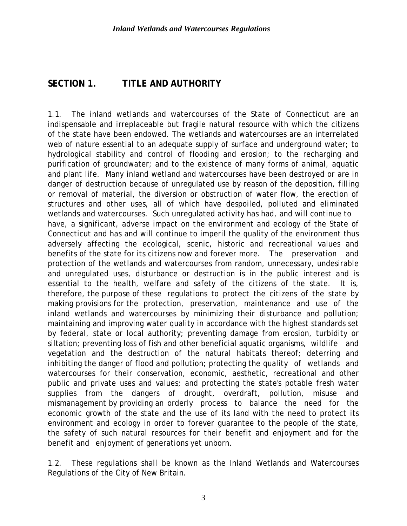#### **SECTION 1. TITLE AND AUTHORITY**

1.1. The inland wetlands and watercourses of the State of Connecticut are an indispensable and irreplaceable but fragile natural resource with which the citizens of the state have been endowed. The wetlands and watercourses are an interrelated web of nature essential to an adequate supply of surface and underground water; to hydrological stability and control of flooding and erosion; to the recharging and purification of groundwater; and to the existence of many forms of animal, aquatic and plant life. Many inland wetland and watercourses have been destroyed or are in danger of destruction because of unregulated use by reason of the deposition, filling or removal of material, the diversion or obstruction of water flow, the erection of structures and other uses, all of which have despoiled, polluted and eliminated wetlands and watercourses. Such unregulated activity has had, and will continue to have, a significant, adverse impact on the environment and ecology of the State of Connecticut and has and will continue to imperil the quality of the environment thus adversely affecting the ecological, scenic, historic and recreational values and benefits of the state for its citizens now and forever more. The preservation and protection of the wetlands and watercourses from random, unnecessary, undesirable and unregulated uses, disturbance or destruction is in the public interest and is essential to the health, welfare and safety of the citizens of the state. It is, therefore, the purpose of these regulations to protect the citizens of the state by making provisions for the protection, preservation, maintenance and use of the inland wetlands and watercourses by minimizing their disturbance and pollution; maintaining and improving water quality in accordance with the highest standards set by federal, state or local authority; preventing damage from erosion, turbidity or siltation; preventing loss of fish and other beneficial aquatic organisms, wildlife and vegetation and the destruction of the natural habitats thereof; deterring and inhibiting the danger of flood and pollution; protecting the quality of wetlands and watercourses for their conservation, economic, aesthetic, recreational and other public and private uses and values; and protecting the state's potable fresh water supplies from the dangers of drought, overdraft, pollution, misuse and mismanagement by providing an orderly process to balance the need for the economic growth of the state and the use of its land with the need to protect its environment and ecology in order to forever guarantee to the people of the state, the safety of such natural resources for their benefit and enjoyment and for the benefit and enjoyment of generations yet unborn.

1.2. These regulations shall be known as the Inland Wetlands and Watercourses Regulations of the City of New Britain.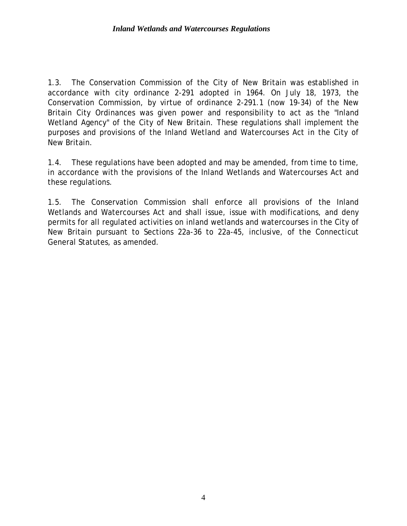1.3. The Conservation Commission of the City of New Britain was established in accordance with city ordinance 2-291 adopted in 1964. On July 18, 1973, the Conservation Commission, by virtue of ordinance 2-291.1 (now 19-34) of the New Britain City Ordinances was given power and responsibility to act as the "Inland Wetland Agency" of the City of New Britain. These regulations shall implement the purposes and provisions of the Inland Wetland and Watercourses Act in the City of New Britain.

1.4. These regulations have been adopted and may be amended, from time to time, in accordance with the provisions of the Inland Wetlands and Watercourses Act and these regulations.

1.5. The Conservation Commission shall enforce all provisions of the Inland Wetlands and Watercourses Act and shall issue, issue with modifications, and deny permits for all regulated activities on inland wetlands and watercourses in the City of New Britain pursuant to Sections 22a-36 to 22a-45, inclusive, of the Connecticut General Statutes, as amended.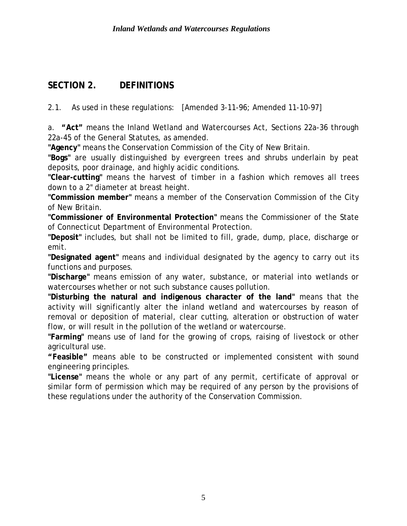# **SECTION 2. DEFINITIONS**

2.1. As used in these regulations: [Amended 3-11-96; Amended 11-10-97]

a. **"Act"** means the Inland Wetland and Watercourses Act, Sections 22a-36 through 22a-45 of the General Statutes, as amended.

**"Agency"** means the Conservation Commission of the City of New Britain.

**"Bogs"** are usually distinguished by evergreen trees and shrubs underlain by peat deposits, poor drainage, and highly acidic conditions.

**"Clear-cutting"** means the harvest of timber in a fashion which removes all trees down to a 2" diameter at breast height.

**"Commission member"** means a member of the Conservation Commission of the City of New Britain.

**"Commissioner of Environmental Protection"** means the Commissioner of the State of Connecticut Department of Environmental Protection.

**"Deposit"** includes, but shall not be limited to fill, grade, dump, place, discharge or emit.

**"Designated agent"** means and individual designated by the agency to carry out its functions and purposes.

**"Discharge"** means emission of any water, substance, or material into wetlands or watercourses whether or not such substance causes pollution.

**"Disturbing the natural and indigenous character of the land"** means that the activity will significantly alter the inland wetland and watercourses by reason of removal or deposition of material, clear cutting, alteration or obstruction of water flow, or will result in the pollution of the wetland or watercourse.

**"Farming"** means use of land for the growing of crops, raising of livestock or other agricultural use.

**"Feasible"** means able to be constructed or implemented consistent with sound engineering principles.

**"License"** means the whole or any part of any permit, certificate of approval or similar form of permission which may be required of any person by the provisions of these regulations under the authority of the Conservation Commission.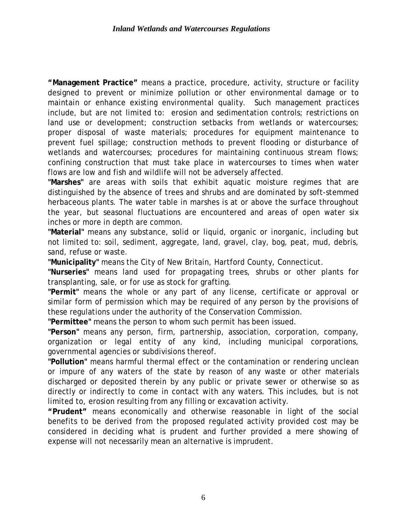**"Management Practice"** means a practice, procedure, activity, structure or facility designed to prevent or minimize pollution or other environmental damage or to maintain or enhance existing environmental quality. Such management practices include, but are not limited to: erosion and sedimentation controls; restrictions on land use or development; construction setbacks from wetlands or watercourses; proper disposal of waste materials; procedures for equipment maintenance to prevent fuel spillage; construction methods to prevent flooding or disturbance of wetlands and watercourses; procedures for maintaining continuous stream flows; confining construction that must take place in watercourses to times when water flows are low and fish and wildlife will not be adversely affected.

**"Marshes"** are areas with soils that exhibit aquatic moisture regimes that are distinguished by the absence of trees and shrubs and are dominated by soft-stemmed herbaceous plants. The water table in marshes is at or above the surface throughout the year, but seasonal fluctuations are encountered and areas of open water six inches or more in depth are common.

**"Material"** means any substance, solid or liquid, organic or inorganic, including but not limited to: soil, sediment, aggregate, land, gravel, clay, bog, peat, mud, debris, sand, refuse or waste.

**"Municipality"** means the City of New Britain, Hartford County, Connecticut.

**"Nurseries"** means land used for propagating trees, shrubs or other plants for transplanting, sale, or for use as stock for grafting.

**"Permit"** means the whole or any part of any license, certificate or approval or similar form of permission which may be required of any person by the provisions of these regulations under the authority of the Conservation Commission.

**"Permittee"** means the person to whom such permit has been issued.

**"Person"** means any person, firm, partnership, association, corporation, company, organization or legal entity of any kind, including municipal corporations, governmental agencies or subdivisions thereof.

**"Pollution"** means harmful thermal effect or the contamination or rendering unclean or impure of any waters of the state by reason of any waste or other materials discharged or deposited therein by any public or private sewer or otherwise so as directly or indirectly to come in contact with any waters. This includes, but is not limited to, erosion resulting from any filling or excavation activity.

**"Prudent"** means economically and otherwise reasonable in light of the social benefits to be derived from the proposed regulated activity provided cost may be considered in deciding what is prudent and further provided a mere showing of expense will not necessarily mean an alternative is imprudent.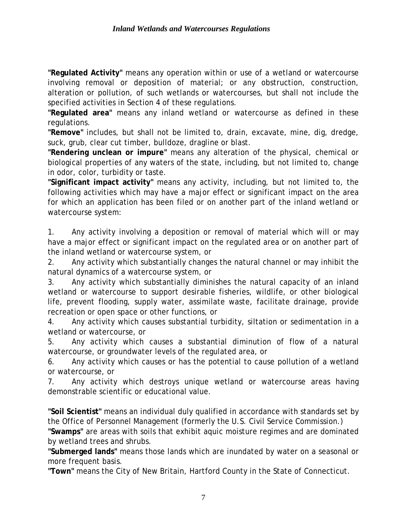**"Regulated Activity"** means any operation within or use of a wetland or watercourse involving removal or deposition of material; or any obstruction, construction, alteration or pollution, of such wetlands or watercourses, but shall not include the specified activities in Section 4 of these regulations.

**"Regulated area"** means any inland wetland or watercourse as defined in these regulations.

**"Remove"** includes, but shall not be limited to, drain, excavate, mine, dig, dredge, suck, grub, clear cut timber, bulldoze, dragline or blast.

**"Rendering unclean or impure"** means any alteration of the physical, chemical or biological properties of any waters of the state, including, but not limited to, change in odor, color, turbidity or taste.

**"Significant impact activity"** means any activity, including, but not limited to, the following activities which may have a major effect or significant impact on the area for which an application has been filed or on another part of the inland wetland or watercourse system:

1. Any activity involving a deposition or removal of material which will or may have a major effect or significant impact on the regulated area or on another part of the inland wetland or watercourse system, or

2. Any activity which substantially changes the natural channel or may inhibit the natural dynamics of a watercourse system, or

3. Any activity which substantially diminishes the natural capacity of an inland wetland or watercourse to support desirable fisheries, wildlife, or other biological life, prevent flooding, supply water, assimilate waste, facilitate drainage, provide recreation or open space or other functions, or

4. Any activity which causes substantial turbidity, siltation or sedimentation in a wetland or watercourse, or

5. Any activity which causes a substantial diminution of flow of a natural watercourse, or groundwater levels of the regulated area, or

6. Any activity which causes or has the potential to cause pollution of a wetland or watercourse, or

7. Any activity which destroys unique wetland or watercourse areas having demonstrable scientific or educational value.

**"Soil Scientist"** means an individual duly qualified in accordance with standards set by the Office of Personnel Management (formerly the U.S. Civil Service Commission.)

**"Swamps"** are areas with soils that exhibit aquic moisture regimes and are dominated by wetland trees and shrubs.

**"Submerged lands"** means those lands which are inundated by water on a seasonal or more frequent basis.

**"Town"** means the City of New Britain, Hartford County in the State of Connecticut.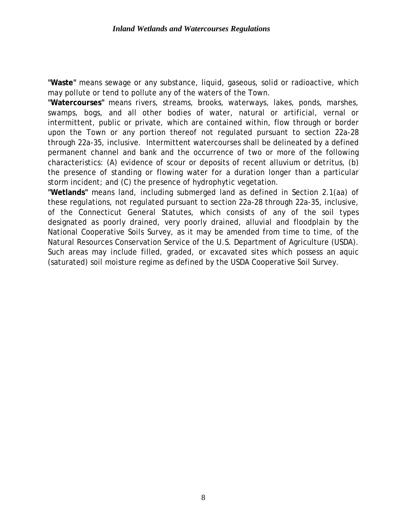**"Waste"** means sewage or any substance, liquid, gaseous, solid or radioactive, which may pollute or tend to pollute any of the waters of the Town.

**"Watercourses"** means rivers, streams, brooks, waterways, lakes, ponds, marshes, swamps, bogs, and all other bodies of water, natural or artificial, vernal or intermittent, public or private, which are contained within, flow through or border upon the Town or any portion thereof not regulated pursuant to section 22a-28 through 22a-35, inclusive. Intermittent watercourses shall be delineated by a defined permanent channel and bank and the occurrence of two or more of the following characteristics: (A) evidence of scour or deposits of recent alluvium or detritus, (b) the presence of standing or flowing water for a duration longer than a particular storm incident; and (C) the presence of hydrophytic vegetation.

**"Wetlands"** means land, including submerged land as defined in Section 2.1(aa) of these regulations, not regulated pursuant to section 22a-28 through 22a-35, inclusive, of the Connecticut General Statutes, which consists of any of the soil types designated as poorly drained, very poorly drained, alluvial and floodplain by the National Cooperative Soils Survey, as it may be amended from time to time, of the Natural Resources Conservation Service of the U.S. Department of Agriculture (USDA). Such areas may include filled, graded, or excavated sites which possess an aquic (saturated) soil moisture regime as defined by the USDA Cooperative Soil Survey.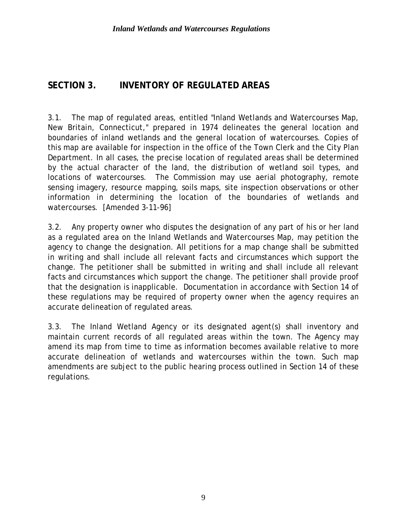# **SECTION 3. INVENTORY OF REGULATED AREAS**

3.1. The map of regulated areas, entitled "Inland Wetlands and Watercourses Map, New Britain, Connecticut," prepared in 1974 delineates the general location and boundaries of inland wetlands and the general location of watercourses. Copies of this map are available for inspection in the office of the Town Clerk and the City Plan Department. In all cases, the precise location of regulated areas shall be determined by the actual character of the land, the distribution of wetland soil types, and locations of watercourses. The Commission may use aerial photography, remote sensing imagery, resource mapping, soils maps, site inspection observations or other information in determining the location of the boundaries of wetlands and watercourses. [Amended 3-11-96]

3.2. Any property owner who disputes the designation of any part of his or her land as a regulated area on the Inland Wetlands and Watercourses Map, may petition the agency to change the designation. All petitions for a map change shall be submitted in writing and shall include all relevant facts and circumstances which support the change. The petitioner shall be submitted in writing and shall include all relevant facts and circumstances which support the change. The petitioner shall provide proof that the designation is inapplicable. Documentation in accordance with Section 14 of these regulations may be required of property owner when the agency requires an accurate delineation of regulated areas.

3.3. The Inland Wetland Agency or its designated agent(s) shall inventory and maintain current records of all regulated areas within the town. The Agency may amend its map from time to time as information becomes available relative to more accurate delineation of wetlands and watercourses within the town. Such map amendments are subject to the public hearing process outlined in Section 14 of these regulations.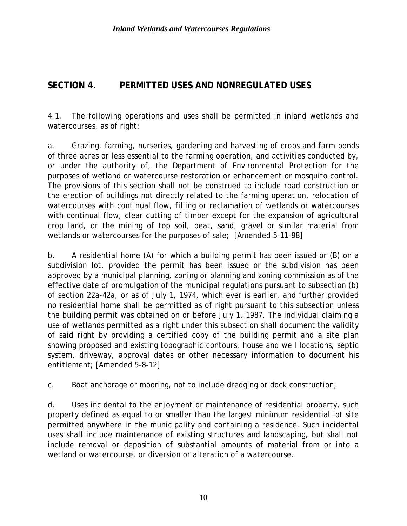# **SECTION 4. PERMITTED USES AND NONREGULATED USES**

4.1. The following operations and uses shall be permitted in inland wetlands and watercourses, as of right:

a. Grazing, farming, nurseries, gardening and harvesting of crops and farm ponds of three acres or less essential to the farming operation, and activities conducted by, or under the authority of, the Department of Environmental Protection for the purposes of wetland or watercourse restoration or enhancement or mosquito control. The provisions of this section shall not be construed to include road construction or the erection of buildings not directly related to the farming operation, relocation of watercourses with continual flow, filling or reclamation of wetlands or watercourses with continual flow, clear cutting of timber except for the expansion of agricultural crop land, or the mining of top soil, peat, sand, gravel or similar material from wetlands or watercourses for the purposes of sale; [Amended 5-11-98]

b. A residential home (A) for which a building permit has been issued or (B) on a subdivision lot, provided the permit has been issued or the subdivision has been approved by a municipal planning, zoning or planning and zoning commission as of the effective date of promulgation of the municipal regulations pursuant to subsection (b) of section 22a-42a, or as of July 1, 1974, which ever is earlier, and further provided no residential home shall be permitted as of right pursuant to this subsection unless the building permit was obtained on or before July 1, 1987. The individual claiming a use of wetlands permitted as a right under this subsection shall document the validity of said right by providing a certified copy of the building permit and a site plan showing proposed and existing topographic contours, house and well locations, septic system, driveway, approval dates or other necessary information to document his entitlement; [Amended 5-8-12]

c. Boat anchorage or mooring, not to include dredging or dock construction;

d. Uses incidental to the enjoyment or maintenance of residential property, such property defined as equal to or smaller than the largest minimum residential lot site permitted anywhere in the municipality and containing a residence. Such incidental uses shall include maintenance of existing structures and landscaping, but shall not include removal or deposition of substantial amounts of material from or into a wetland or watercourse, or diversion or alteration of a watercourse.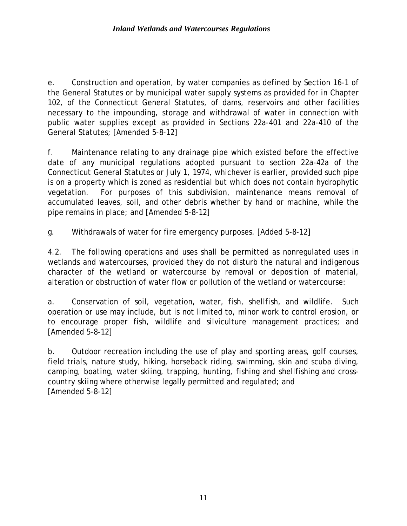e. Construction and operation, by water companies as defined by Section 16-1 of the General Statutes or by municipal water supply systems as provided for in Chapter 102, of the Connecticut General Statutes, of dams, reservoirs and other facilities necessary to the impounding, storage and withdrawal of water in connection with public water supplies except as provided in Sections 22a-401 and 22a-410 of the General Statutes; [Amended 5-8-12]

f. Maintenance relating to any drainage pipe which existed before the effective date of any municipal regulations adopted pursuant to section 22a-42a of the Connecticut General Statutes or July 1, 1974, whichever is earlier, provided such pipe is on a property which is zoned as residential but which does not contain hydrophytic vegetation. For purposes of this subdivision, maintenance means removal of accumulated leaves, soil, and other debris whether by hand or machine, while the pipe remains in place; and [Amended 5-8-12]

g. Withdrawals of water for fire emergency purposes. [Added 5-8-12]

4.2. The following operations and uses shall be permitted as nonregulated uses in wetlands and watercourses, provided they do not disturb the natural and indigenous character of the wetland or watercourse by removal or deposition of material, alteration or obstruction of water flow or pollution of the wetland or watercourse:

a. Conservation of soil, vegetation, water, fish, shellfish, and wildlife. Such operation or use may include, but is not limited to, minor work to control erosion, or to encourage proper fish, wildlife and silviculture management practices; and [Amended 5-8-12]

b. Outdoor recreation including the use of play and sporting areas, golf courses, field trials, nature study, hiking, horseback riding, swimming, skin and scuba diving, camping, boating, water skiing, trapping, hunting, fishing and shellfishing and crosscountry skiing where otherwise legally permitted and regulated; and [Amended 5-8-12]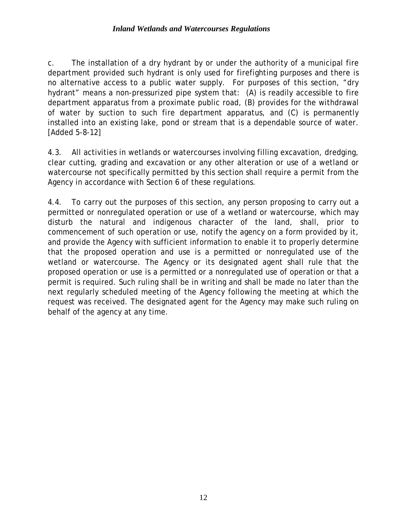#### *Inland Wetlands and Watercourses Regulations*

c. The installation of a dry hydrant by or under the authority of a municipal fire department provided such hydrant is only used for firefighting purposes and there is no alternative access to a public water supply. For purposes of this section, "dry hydrant" means a non-pressurized pipe system that: (A) is readily accessible to fire department apparatus from a proximate public road, (B) provides for the withdrawal of water by suction to such fire department apparatus, and (C) is permanently installed into an existing lake, pond or stream that is a dependable source of water. [Added 5-8-12]

4.3. All activities in wetlands or watercourses involving filling excavation, dredging, clear cutting, grading and excavation or any other alteration or use of a wetland or watercourse not specifically permitted by this section shall require a permit from the Agency in accordance with Section 6 of these regulations.

4.4. To carry out the purposes of this section, any person proposing to carry out a permitted or nonregulated operation or use of a wetland or watercourse, which may disturb the natural and indigenous character of the land, shall, prior to commencement of such operation or use, notify the agency on a form provided by it, and provide the Agency with sufficient information to enable it to properly determine that the proposed operation and use is a permitted or nonregulated use of the wetland or watercourse. The Agency or its designated agent shall rule that the proposed operation or use is a permitted or a nonregulated use of operation or that a permit is required. Such ruling shall be in writing and shall be made no later than the next regularly scheduled meeting of the Agency following the meeting at which the request was received. The designated agent for the Agency may make such ruling on behalf of the agency at any time.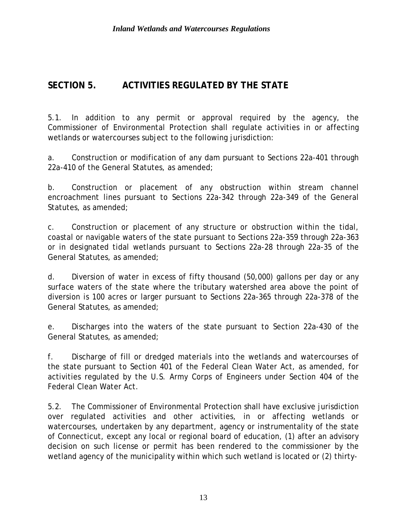## **SECTION 5. ACTIVITIES REGULATED BY THE STATE**

5.1. In addition to any permit or approval required by the agency, the Commissioner of Environmental Protection shall regulate activities in or affecting wetlands or watercourses subject to the following jurisdiction:

a. Construction or modification of any dam pursuant to Sections 22a-401 through 22a-410 of the General Statutes, as amended;

b. Construction or placement of any obstruction within stream channel encroachment lines pursuant to Sections 22a-342 through 22a-349 of the General Statutes, as amended;

c. Construction or placement of any structure or obstruction within the tidal, coastal or navigable waters of the state pursuant to Sections 22a-359 through 22a-363 or in designated tidal wetlands pursuant to Sections 22a-28 through 22a-35 of the General Statutes, as amended;

d. Diversion of water in excess of fifty thousand (50,000) gallons per day or any surface waters of the state where the tributary watershed area above the point of diversion is 100 acres or larger pursuant to Sections 22a-365 through 22a-378 of the General Statutes, as amended;

e. Discharges into the waters of the state pursuant to Section 22a-430 of the General Statutes, as amended;

f. Discharge of fill or dredged materials into the wetlands and watercourses of the state pursuant to Section 401 of the Federal Clean Water Act, as amended, for activities regulated by the U.S. Army Corps of Engineers under Section 404 of the Federal Clean Water Act.

5.2. The Commissioner of Environmental Protection shall have exclusive jurisdiction over regulated activities and other activities, in or affecting wetlands or watercourses, undertaken by any department, agency or instrumentality of the state of Connecticut, except any local or regional board of education, (1) after an advisory decision on such license or permit has been rendered to the commissioner by the wetland agency of the municipality within which such wetland is located or (2) thirty-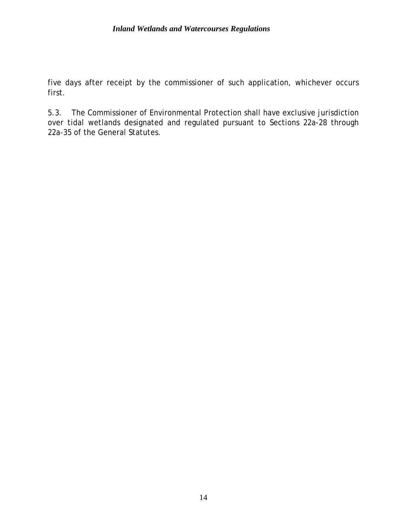#### *Inland Wetlands and Watercourses Regulations*

five days after receipt by the commissioner of such application, whichever occurs first.

5.3. The Commissioner of Environmental Protection shall have exclusive jurisdiction over tidal wetlands designated and regulated pursuant to Sections 22a-28 through 22a-35 of the General Statutes.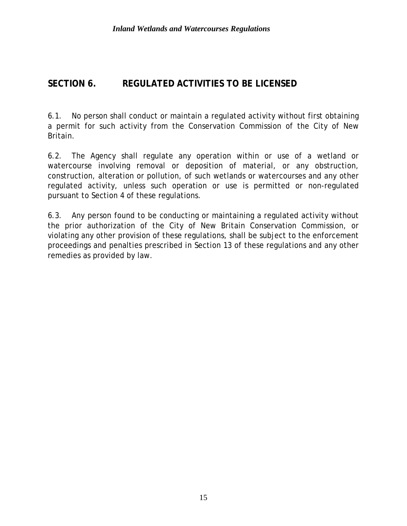### **SECTION 6. REGULATED ACTIVITIES TO BE LICENSED**

6.1. No person shall conduct or maintain a regulated activity without first obtaining a permit for such activity from the Conservation Commission of the City of New Britain.

6.2. The Agency shall regulate any operation within or use of a wetland or watercourse involving removal or deposition of material, or any obstruction, construction, alteration or pollution, of such wetlands or watercourses and any other regulated activity, unless such operation or use is permitted or non-regulated pursuant to Section 4 of these regulations.

6.3. Any person found to be conducting or maintaining a regulated activity without the prior authorization of the City of New Britain Conservation Commission, or violating any other provision of these regulations, shall be subject to the enforcement proceedings and penalties prescribed in Section 13 of these regulations and any other remedies as provided by law.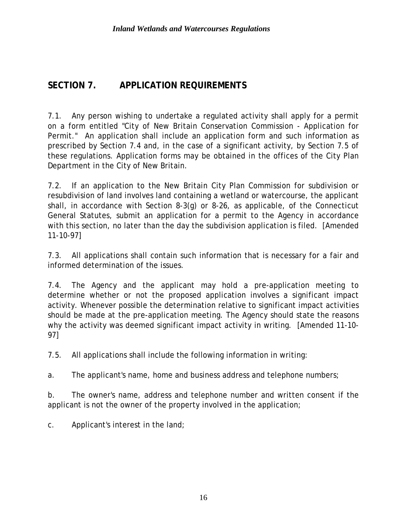### **SECTION 7. APPLICATION REQUIREMENTS**

7.1. Any person wishing to undertake a regulated activity shall apply for a permit on a form entitled "City of New Britain Conservation Commission - Application for Permit." An application shall include an application form and such information as prescribed by Section 7.4 and, in the case of a significant activity, by Section 7.5 of these regulations. Application forms may be obtained in the offices of the City Plan Department in the City of New Britain.

7.2. If an application to the New Britain City Plan Commission for subdivision or resubdivision of land involves land containing a wetland or watercourse, the applicant shall, in accordance with Section 8-3(g) or 8-26, as applicable, of the Connecticut General Statutes, submit an application for a permit to the Agency in accordance with this section, no later than the day the subdivision application is filed. [Amended 11-10-97]

7.3. All applications shall contain such information that is necessary for a fair and informed determination of the issues.

7.4. The Agency and the applicant may hold a pre-application meeting to determine whether or not the proposed application involves a significant impact activity. Whenever possible the determination relative to significant impact activities should be made at the pre-application meeting. The Agency should state the reasons why the activity was deemed significant impact activity in writing. [Amended 11-10-97]

7.5. All applications shall include the following information in writing:

a. The applicant's name, home and business address and telephone numbers;

b. The owner's name, address and telephone number and written consent if the applicant is not the owner of the property involved in the application;

c. Applicant's interest in the land;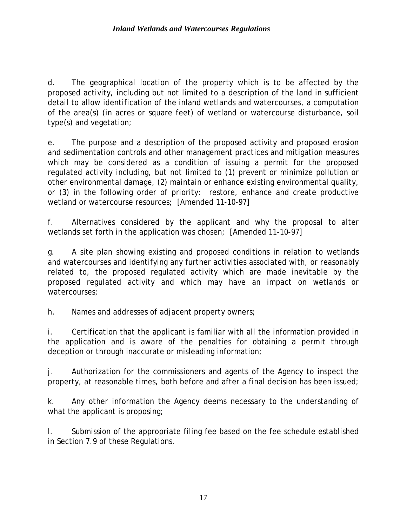d. The geographical location of the property which is to be affected by the proposed activity, including but not limited to a description of the land in sufficient detail to allow identification of the inland wetlands and watercourses, a computation of the area(s) (in acres or square feet) of wetland or watercourse disturbance, soil type(s) and vegetation;

e. The purpose and a description of the proposed activity and proposed erosion and sedimentation controls and other management practices and mitigation measures which may be considered as a condition of issuing a permit for the proposed regulated activity including, but not limited to (1) prevent or minimize pollution or other environmental damage, (2) maintain or enhance existing environmental quality, or (3) in the following order of priority: restore, enhance and create productive wetland or watercourse resources; [Amended 11-10-97]

f. Alternatives considered by the applicant and why the proposal to alter wetlands set forth in the application was chosen; [Amended 11-10-97]

g. A site plan showing existing and proposed conditions in relation to wetlands and watercourses and identifying any further activities associated with, or reasonably related to, the proposed regulated activity which are made inevitable by the proposed regulated activity and which may have an impact on wetlands or watercourses;

h. Names and addresses of adjacent property owners;

i. Certification that the applicant is familiar with all the information provided in the application and is aware of the penalties for obtaining a permit through deception or through inaccurate or misleading information;

j. Authorization for the commissioners and agents of the Agency to inspect the property, at reasonable times, both before and after a final decision has been issued;

k. Any other information the Agency deems necessary to the understanding of what the applicant is proposing;

l. Submission of the appropriate filing fee based on the fee schedule established in Section 7.9 of these Regulations.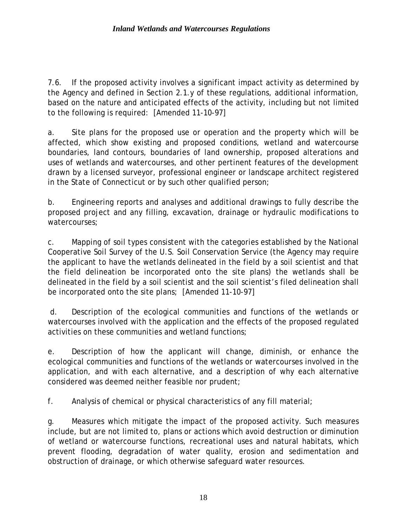7.6. If the proposed activity involves a significant impact activity as determined by the Agency and defined in Section 2.1.y of these regulations, additional information, based on the nature and anticipated effects of the activity, including but not limited to the following is required: [Amended 11-10-97]

a. Site plans for the proposed use or operation and the property which will be affected, which show existing and proposed conditions, wetland and watercourse boundaries, land contours, boundaries of land ownership, proposed alterations and uses of wetlands and watercourses, and other pertinent features of the development drawn by a licensed surveyor, professional engineer or landscape architect registered in the State of Connecticut or by such other qualified person;

b. Engineering reports and analyses and additional drawings to fully describe the proposed project and any filling, excavation, drainage or hydraulic modifications to watercourses;

c. Mapping of soil types consistent with the categories established by the National Cooperative Soil Survey of the U.S. Soil Conservation Service (the Agency may require the applicant to have the wetlands delineated in the field by a soil scientist and that the field delineation be incorporated onto the site plans) the wetlands shall be delineated in the field by a soil scientist and the soil scientist's filed delineation shall be incorporated onto the site plans; [Amended 11-10-97]

d. Description of the ecological communities and functions of the wetlands or watercourses involved with the application and the effects of the proposed regulated activities on these communities and wetland functions;

e. Description of how the applicant will change, diminish, or enhance the ecological communities and functions of the wetlands or watercourses involved in the application, and with each alternative, and a description of why each alternative considered was deemed neither feasible nor prudent;

f. Analysis of chemical or physical characteristics of any fill material;

g. Measures which mitigate the impact of the proposed activity. Such measures include, but are not limited to, plans or actions which avoid destruction or diminution of wetland or watercourse functions, recreational uses and natural habitats, which prevent flooding, degradation of water quality, erosion and sedimentation and obstruction of drainage, or which otherwise safeguard water resources.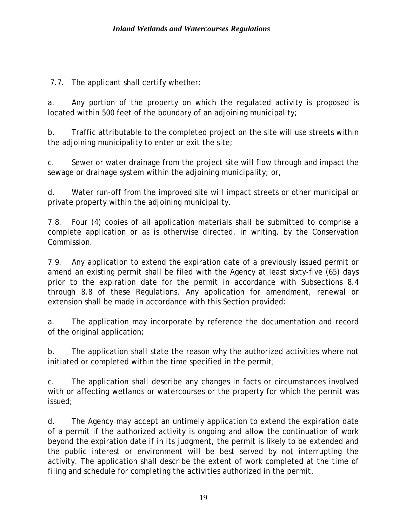7.7. The applicant shall certify whether:

a. Any portion of the property on which the regulated activity is proposed is located within 500 feet of the boundary of an adjoining municipality;

b. Traffic attributable to the completed project on the site will use streets within the adjoining municipality to enter or exit the site;

c. Sewer or water drainage from the project site will flow through and impact the sewage or drainage system within the adjoining municipality; or,

d. Water run-off from the improved site will impact streets or other municipal or private property within the adjoining municipality.

7.8. Four (4) copies of all application materials shall be submitted to comprise a complete application or as is otherwise directed, in writing, by the Conservation Commission.

7.9. Any application to extend the expiration date of a previously issued permit or amend an existing permit shall be filed with the Agency at least sixty-five (65) days prior to the expiration date for the permit in accordance with Subsections 8.4 through 8.8 of these Regulations. Any application for amendment, renewal or extension shall be made in accordance with this Section provided:

a. The application may incorporate by reference the documentation and record of the original application;

b. The application shall state the reason why the authorized activities where not initiated or completed within the time specified in the permit;

c. The application shall describe any changes in facts or circumstances involved with or affecting wetlands or watercourses or the property for which the permit was issued;

d. The Agency may accept an untimely application to extend the expiration date of a permit if the authorized activity is ongoing and allow the continuation of work beyond the expiration date if in its judgment, the permit is likely to be extended and the public interest or environment will be best served by not interrupting the activity. The application shall describe the extent of work completed at the time of filing and schedule for completing the activities authorized in the permit.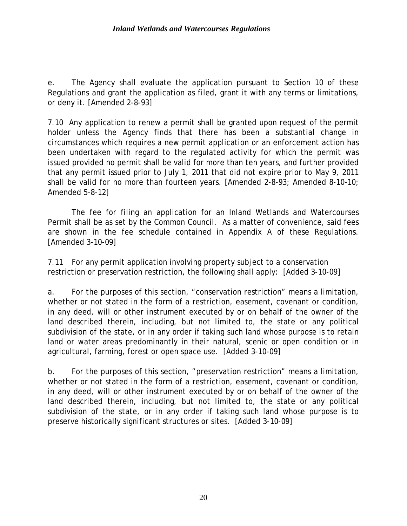e. The Agency shall evaluate the application pursuant to Section 10 of these Regulations and grant the application as filed, grant it with any terms or limitations, or deny it. [Amended 2-8-93]

7.10 Any application to renew a permit shall be granted upon request of the permit holder unless the Agency finds that there has been a substantial change in circumstances which requires a new permit application or an enforcement action has been undertaken with regard to the regulated activity for which the permit was issued provided no permit shall be valid for more than ten years, and further provided that any permit issued prior to July 1, 2011 that did not expire prior to May 9, 2011 shall be valid for no more than fourteen years. [Amended 2-8-93; Amended 8-10-10; Amended 5-8-12]

The fee for filing an application for an Inland Wetlands and Watercourses Permit shall be as set by the Common Council. As a matter of convenience, said fees are shown in the fee schedule contained in Appendix A of these Regulations. [Amended 3-10-09]

7.11 For any permit application involving property subject to a conservation restriction or preservation restriction, the following shall apply: [Added 3-10-09]

a. For the purposes of this section, "conservation restriction" means a limitation, whether or not stated in the form of a restriction, easement, covenant or condition, in any deed, will or other instrument executed by or on behalf of the owner of the land described therein, including, but not limited to, the state or any political subdivision of the state, or in any order if taking such land whose purpose is to retain land or water areas predominantly in their natural, scenic or open condition or in agricultural, farming, forest or open space use. [Added 3-10-09]

b. For the purposes of this section, "preservation restriction" means a limitation, whether or not stated in the form of a restriction, easement, covenant or condition, in any deed, will or other instrument executed by or on behalf of the owner of the land described therein, including, but not limited to, the state or any political subdivision of the state, or in any order if taking such land whose purpose is to preserve historically significant structures or sites. [Added 3-10-09]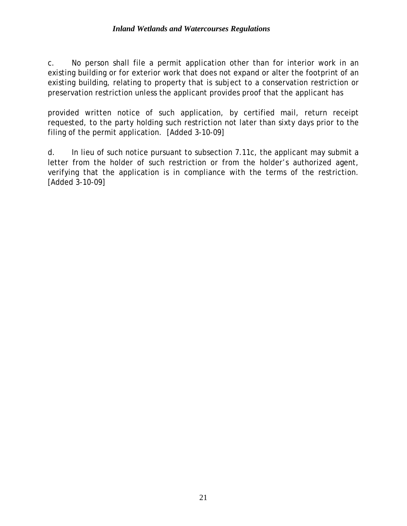c. No person shall file a permit application other than for interior work in an existing building or for exterior work that does not expand or alter the footprint of an existing building, relating to property that is subject to a conservation restriction or preservation restriction unless the applicant provides proof that the applicant has

provided written notice of such application, by certified mail, return receipt requested, to the party holding such restriction not later than sixty days prior to the filing of the permit application. [Added 3-10-09]

d. In lieu of such notice pursuant to subsection 7.11c, the applicant may submit a letter from the holder of such restriction or from the holder's authorized agent, verifying that the application is in compliance with the terms of the restriction. [Added 3-10-09]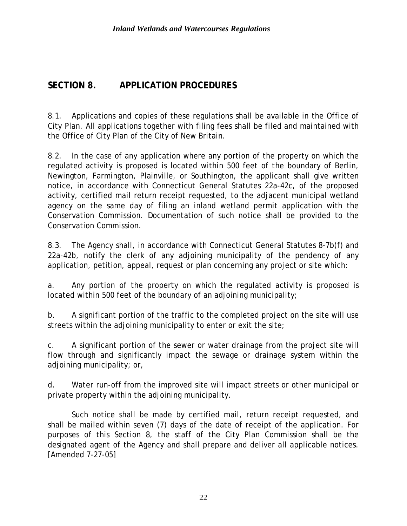### **SECTION 8. APPLICATION PROCEDURES**

8.1. Applications and copies of these regulations shall be available in the Office of City Plan. All applications together with filing fees shall be filed and maintained with the Office of City Plan of the City of New Britain.

8.2. In the case of any application where any portion of the property on which the regulated activity is proposed is located within 500 feet of the boundary of Berlin, Newington, Farmington, Plainville, or Southington, the applicant shall give written notice, in accordance with Connecticut General Statutes 22a-42c, of the proposed activity, certified mail return receipt requested, to the adjacent municipal wetland agency on the same day of filing an inland wetland permit application with the Conservation Commission. Documentation of such notice shall be provided to the Conservation Commission.

8.3. The Agency shall, in accordance with Connecticut General Statutes 8-7b(f) and 22a-42b, notify the clerk of any adjoining municipality of the pendency of any application, petition, appeal, request or plan concerning any project or site which:

a. Any portion of the property on which the regulated activity is proposed is located within 500 feet of the boundary of an adjoining municipality;

b. A significant portion of the traffic to the completed project on the site will use streets within the adjoining municipality to enter or exit the site;

c. A significant portion of the sewer or water drainage from the project site will flow through and significantly impact the sewage or drainage system within the adjoining municipality; or,

d. Water run-off from the improved site will impact streets or other municipal or private property within the adjoining municipality.

Such notice shall be made by certified mail, return receipt requested, and shall be mailed within seven (7) days of the date of receipt of the application. For purposes of this Section 8, the staff of the City Plan Commission shall be the designated agent of the Agency and shall prepare and deliver all applicable notices. [Amended 7-27-05]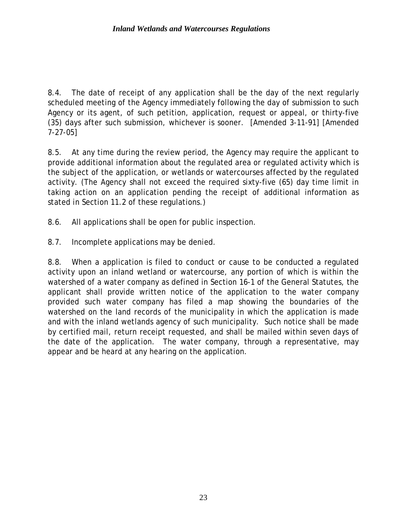8.4. The date of receipt of any application shall be the day of the next regularly scheduled meeting of the Agency immediately following the day of submission to such Agency or its agent, of such petition, application, request or appeal, or thirty-five (35) days after such submission, whichever is sooner. [Amended 3-11-91] [Amended 7-27-05]

8.5. At any time during the review period, the Agency may require the applicant to provide additional information about the regulated area or regulated activity which is the subject of the application, or wetlands or watercourses affected by the regulated activity. (The Agency shall not exceed the required sixty-five (65) day time limit in taking action on an application pending the receipt of additional information as stated in Section 11.2 of these regulations.)

8.6. All applications shall be open for public inspection.

8.7. Incomplete applications may be denied.

8.8. When a application is filed to conduct or cause to be conducted a regulated activity upon an inland wetland or watercourse, any portion of which is within the watershed of a water company as defined in Section 16-1 of the General Statutes, the applicant shall provide written notice of the application to the water company provided such water company has filed a map showing the boundaries of the watershed on the land records of the municipality in which the application is made and with the inland wetlands agency of such municipality. Such notice shall be made by certified mail, return receipt requested, and shall be mailed within seven days of the date of the application. The water company, through a representative, may appear and be heard at any hearing on the application.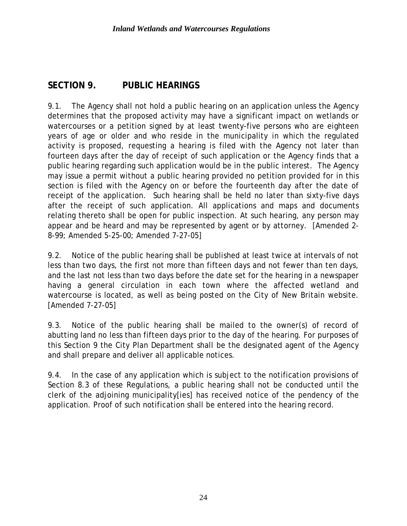## **SECTION 9. PUBLIC HEARINGS**

9.1. The Agency shall not hold a public hearing on an application unless the Agency determines that the proposed activity may have a significant impact on wetlands or watercourses or a petition signed by at least twenty-five persons who are eighteen years of age or older and who reside in the municipality in which the regulated activity is proposed, requesting a hearing is filed with the Agency not later than fourteen days after the day of receipt of such application or the Agency finds that a public hearing regarding such application would be in the public interest. The Agency may issue a permit without a public hearing provided no petition provided for in this section is filed with the Agency on or before the fourteenth day after the date of receipt of the application. Such hearing shall be held no later than sixty-five days after the receipt of such application. All applications and maps and documents relating thereto shall be open for public inspection. At such hearing, any person may appear and be heard and may be represented by agent or by attorney. [Amended 2- 8-99; Amended 5-25-00; Amended 7-27-05]

9.2. Notice of the public hearing shall be published at least twice at intervals of not less than two days, the first not more than fifteen days and not fewer than ten days, and the last not less than two days before the date set for the hearing in a newspaper having a general circulation in each town where the affected wetland and watercourse is located, as well as being posted on the City of New Britain website. [Amended 7-27-05]

9.3. Notice of the public hearing shall be mailed to the owner(s) of record of abutting land no less than fifteen days prior to the day of the hearing. For purposes of this Section 9 the City Plan Department shall be the designated agent of the Agency and shall prepare and deliver all applicable notices.

9.4. In the case of any application which is subject to the notification provisions of Section 8.3 of these Regulations, a public hearing shall not be conducted until the clerk of the adjoining municipality[ies] has received notice of the pendency of the application. Proof of such notification shall be entered into the hearing record.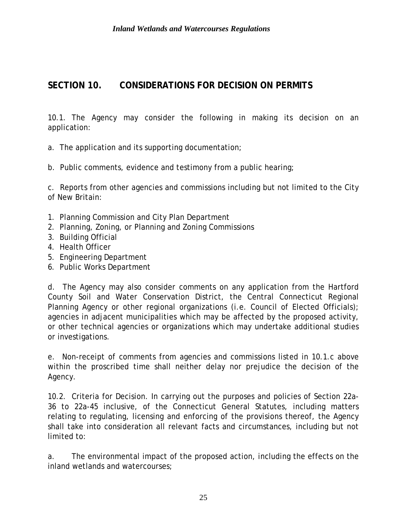## **SECTION 10. CONSIDERATIONS FOR DECISION ON PERMITS**

10.1. The Agency may consider the following in making its decision on an application:

- a. The application and its supporting documentation;
- b. Public comments, evidence and testimony from a public hearing;

c. Reports from other agencies and commissions including but not limited to the City of New Britain:

- 1. Planning Commission and City Plan Department
- 2. Planning, Zoning, or Planning and Zoning Commissions
- 3. Building Official
- 4. Health Officer
- 5. Engineering Department
- 6. Public Works Department

d. The Agency may also consider comments on any application from the Hartford County Soil and Water Conservation District, the Central Connecticut Regional Planning Agency or other regional organizations (i.e. Council of Elected Officials); agencies in adjacent municipalities which may be affected by the proposed activity, or other technical agencies or organizations which may undertake additional studies or investigations.

e. Non-receipt of comments from agencies and commissions listed in 10.1.c above within the proscribed time shall neither delay nor prejudice the decision of the Agency.

10.2. Criteria for Decision. In carrying out the purposes and policies of Section 22a-36 to 22a-45 inclusive, of the Connecticut General Statutes, including matters relating to regulating, licensing and enforcing of the provisions thereof, the Agency shall take into consideration all relevant facts and circumstances, including but not limited to:

a. The environmental impact of the proposed action, including the effects on the inland wetlands and watercourses;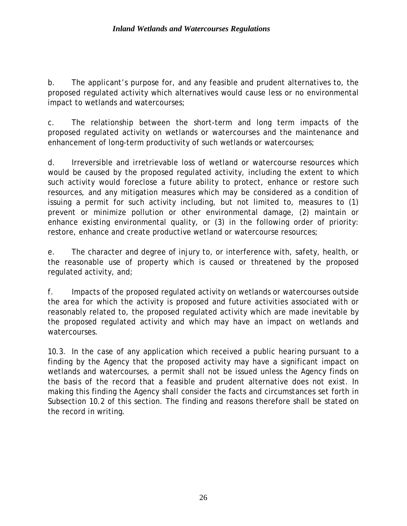b. The applicant's purpose for, and any feasible and prudent alternatives to, the proposed regulated activity which alternatives would cause less or no environmental impact to wetlands and watercourses;

c. The relationship between the short-term and long term impacts of the proposed regulated activity on wetlands or watercourses and the maintenance and enhancement of long-term productivity of such wetlands or watercourses;

d. Irreversible and irretrievable loss of wetland or watercourse resources which would be caused by the proposed regulated activity, including the extent to which such activity would foreclose a future ability to protect, enhance or restore such resources, and any mitigation measures which may be considered as a condition of issuing a permit for such activity including, but not limited to, measures to (1) prevent or minimize pollution or other environmental damage, (2) maintain or enhance existing environmental quality, or (3) in the following order of priority: restore, enhance and create productive wetland or watercourse resources;

e. The character and degree of injury to, or interference with, safety, health, or the reasonable use of property which is caused or threatened by the proposed regulated activity, and;

f. Impacts of the proposed regulated activity on wetlands or watercourses outside the area for which the activity is proposed and future activities associated with or reasonably related to, the proposed regulated activity which are made inevitable by the proposed regulated activity and which may have an impact on wetlands and watercourses.

10.3. In the case of any application which received a public hearing pursuant to a finding by the Agency that the proposed activity may have a significant impact on wetlands and watercourses, a permit shall not be issued unless the Agency finds on the basis of the record that a feasible and prudent alternative does not exist. In making this finding the Agency shall consider the facts and circumstances set forth in Subsection 10.2 of this section. The finding and reasons therefore shall be stated on the record in writing.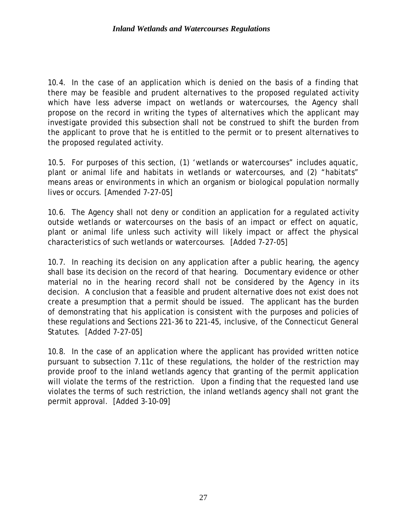10.4. In the case of an application which is denied on the basis of a finding that there may be feasible and prudent alternatives to the proposed regulated activity which have less adverse impact on wetlands or watercourses, the Agency shall propose on the record in writing the types of alternatives which the applicant may investigate provided this subsection shall not be construed to shift the burden from the applicant to prove that he is entitled to the permit or to present alternatives to the proposed regulated activity.

10.5. For purposes of this section, (1) 'wetlands or watercourses" includes aquatic, plant or animal life and habitats in wetlands or watercourses, and (2) "habitats" means areas or environments in which an organism or biological population normally lives or occurs. [Amended 7-27-05]

10.6. The Agency shall not deny or condition an application for a regulated activity outside wetlands or watercourses on the basis of an impact or effect on aquatic, plant or animal life unless such activity will likely impact or affect the physical characteristics of such wetlands or watercourses. [Added 7-27-05]

10.7. In reaching its decision on any application after a public hearing, the agency shall base its decision on the record of that hearing. Documentary evidence or other material no in the hearing record shall not be considered by the Agency in its decision. A conclusion that a feasible and prudent alternative does not exist does not create a presumption that a permit should be issued. The applicant has the burden of demonstrating that his application is consistent with the purposes and policies of these regulations and Sections 221-36 to 221-45, inclusive, of the Connecticut General Statutes. [Added 7-27-05]

10.8. In the case of an application where the applicant has provided written notice pursuant to subsection 7.11c of these regulations, the holder of the restriction may provide proof to the inland wetlands agency that granting of the permit application will violate the terms of the restriction. Upon a finding that the requested land use violates the terms of such restriction, the inland wetlands agency shall not grant the permit approval. [Added 3-10-09]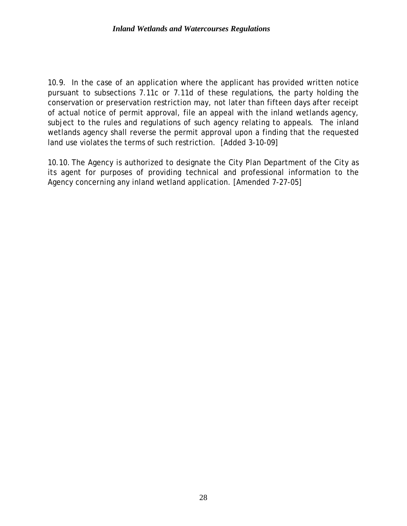10.9. In the case of an application where the applicant has provided written notice pursuant to subsections 7.11c or 7.11d of these regulations, the party holding the conservation or preservation restriction may, not later than fifteen days after receipt of actual notice of permit approval, file an appeal with the inland wetlands agency, subject to the rules and regulations of such agency relating to appeals. The inland wetlands agency shall reverse the permit approval upon a finding that the requested land use violates the terms of such restriction. [Added 3-10-09]

10.10. The Agency is authorized to designate the City Plan Department of the City as its agent for purposes of providing technical and professional information to the Agency concerning any inland wetland application. [Amended 7-27-05]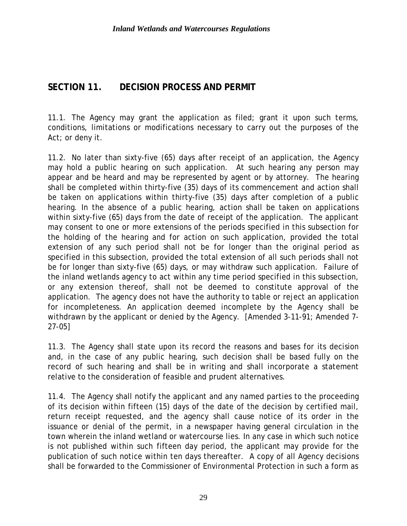### **SECTION 11. DECISION PROCESS AND PERMIT**

11.1. The Agency may grant the application as filed; grant it upon such terms, conditions, limitations or modifications necessary to carry out the purposes of the Act; or deny it.

11.2. No later than sixty-five (65) days after receipt of an application, the Agency may hold a public hearing on such application. At such hearing any person may appear and be heard and may be represented by agent or by attorney. The hearing shall be completed within thirty-five (35) days of its commencement and action shall be taken on applications within thirty-five (35) days after completion of a public hearing. In the absence of a public hearing, action shall be taken on applications within sixty-five (65) days from the date of receipt of the application. The applicant may consent to one or more extensions of the periods specified in this subsection for the holding of the hearing and for action on such application, provided the total extension of any such period shall not be for longer than the original period as specified in this subsection, provided the total extension of all such periods shall not be for longer than sixty-five (65) days, or may withdraw such application. Failure of the inland wetlands agency to act within any time period specified in this subsection, or any extension thereof, shall not be deemed to constitute approval of the application. The agency does not have the authority to table or reject an application for incompleteness. An application deemed incomplete by the Agency shall be withdrawn by the applicant or denied by the Agency. [Amended 3-11-91; Amended 7- 27-05]

11.3. The Agency shall state upon its record the reasons and bases for its decision and, in the case of any public hearing, such decision shall be based fully on the record of such hearing and shall be in writing and shall incorporate a statement relative to the consideration of feasible and prudent alternatives.

11.4. The Agency shall notify the applicant and any named parties to the proceeding of its decision within fifteen (15) days of the date of the decision by certified mail, return receipt requested, and the agency shall cause notice of its order in the issuance or denial of the permit, in a newspaper having general circulation in the town wherein the inland wetland or watercourse lies. In any case in which such notice is not published within such fifteen day period, the applicant may provide for the publication of such notice within ten days thereafter. A copy of all Agency decisions shall be forwarded to the Commissioner of Environmental Protection in such a form as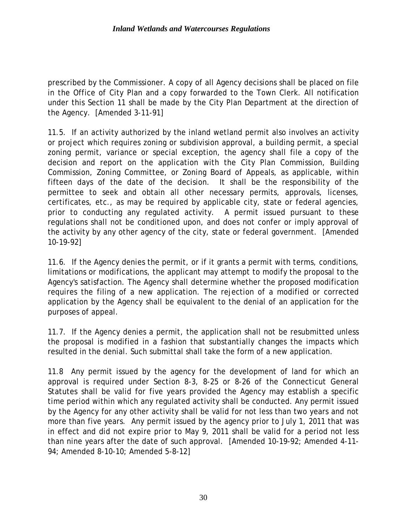prescribed by the Commissioner. A copy of all Agency decisions shall be placed on file in the Office of City Plan and a copy forwarded to the Town Clerk. All notification under this Section 11 shall be made by the City Plan Department at the direction of the Agency. [Amended 3-11-91]

11.5. If an activity authorized by the inland wetland permit also involves an activity or project which requires zoning or subdivision approval, a building permit, a special zoning permit, variance or special exception, the agency shall file a copy of the decision and report on the application with the City Plan Commission, Building Commission, Zoning Committee, or Zoning Board of Appeals, as applicable, within fifteen days of the date of the decision. It shall be the responsibility of the permittee to seek and obtain all other necessary permits, approvals, licenses, certificates, etc., as may be required by applicable city, state or federal agencies, prior to conducting any regulated activity. A permit issued pursuant to these regulations shall not be conditioned upon, and does not confer or imply approval of the activity by any other agency of the city, state or federal government. [Amended 10-19-92]

11.6. If the Agency denies the permit, or if it grants a permit with terms, conditions, limitations or modifications, the applicant may attempt to modify the proposal to the Agency's satisfaction. The Agency shall determine whether the proposed modification requires the filing of a new application. The rejection of a modified or corrected application by the Agency shall be equivalent to the denial of an application for the purposes of appeal.

11.7. If the Agency denies a permit, the application shall not be resubmitted unless the proposal is modified in a fashion that substantially changes the impacts which resulted in the denial. Such submittal shall take the form of a new application.

11.8 Any permit issued by the agency for the development of land for which an approval is required under Section 8-3, 8-25 or 8-26 of the Connecticut General Statutes shall be valid for five years provided the Agency may establish a specific time period within which any regulated activity shall be conducted. Any permit issued by the Agency for any other activity shall be valid for not less than two years and not more than five years. Any permit issued by the agency prior to July 1, 2011 that was in effect and did not expire prior to May 9, 2011 shall be valid for a period not less than nine years after the date of such approval. [Amended 10-19-92; Amended 4-11- 94; Amended 8-10-10; Amended 5-8-12]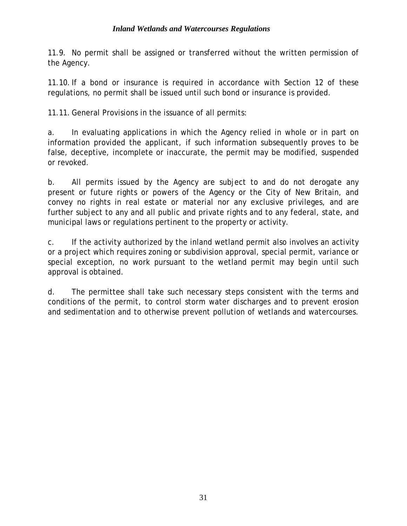#### *Inland Wetlands and Watercourses Regulations*

11.9. No permit shall be assigned or transferred without the written permission of the Agency.

11.10.If a bond or insurance is required in accordance with Section 12 of these regulations, no permit shall be issued until such bond or insurance is provided.

11.11. General Provisions in the issuance of all permits:

a. In evaluating applications in which the Agency relied in whole or in part on information provided the applicant, if such information subsequently proves to be false, deceptive, incomplete or inaccurate, the permit may be modified, suspended or revoked.

b. All permits issued by the Agency are subject to and do not derogate any present or future rights or powers of the Agency or the City of New Britain, and convey no rights in real estate or material nor any exclusive privileges, and are further subject to any and all public and private rights and to any federal, state, and municipal laws or regulations pertinent to the property or activity.

c. If the activity authorized by the inland wetland permit also involves an activity or a project which requires zoning or subdivision approval, special permit, variance or special exception, no work pursuant to the wetland permit may begin until such approval is obtained.

d. The permittee shall take such necessary steps consistent with the terms and conditions of the permit, to control storm water discharges and to prevent erosion and sedimentation and to otherwise prevent pollution of wetlands and watercourses.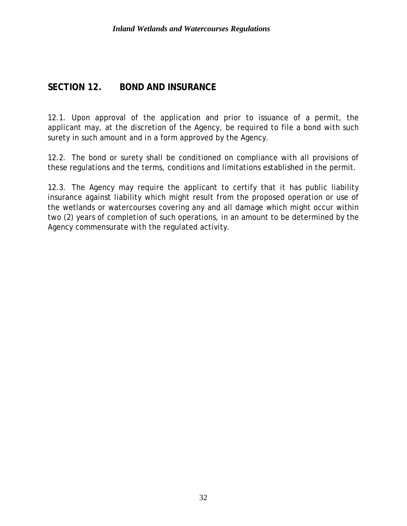#### **SECTION 12. BOND AND INSURANCE**

12.1. Upon approval of the application and prior to issuance of a permit, the applicant may, at the discretion of the Agency, be required to file a bond with such surety in such amount and in a form approved by the Agency.

12.2. The bond or surety shall be conditioned on compliance with all provisions of these regulations and the terms, conditions and limitations established in the permit.

12.3. The Agency may require the applicant to certify that it has public liability insurance against liability which might result from the proposed operation or use of the wetlands or watercourses covering any and all damage which might occur within two (2) years of completion of such operations, in an amount to be determined by the Agency commensurate with the regulated activity.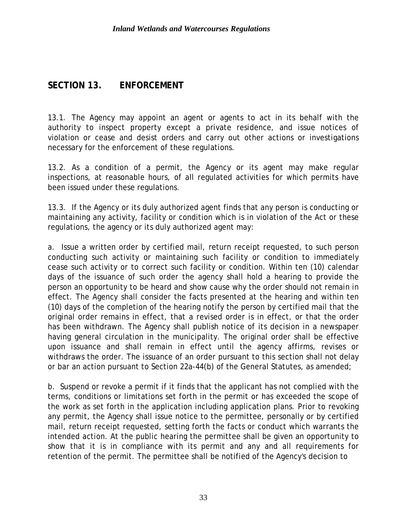#### **SECTION 13. ENFORCEMENT**

13.1. The Agency may appoint an agent or agents to act in its behalf with the authority to inspect property except a private residence, and issue notices of violation or cease and desist orders and carry out other actions or investigations necessary for the enforcement of these regulations.

13.2. As a condition of a permit, the Agency or its agent may make regular inspections, at reasonable hours, of all regulated activities for which permits have been issued under these regulations.

13.3. If the Agency or its duly authorized agent finds that any person is conducting or maintaining any activity, facility or condition which is in violation of the Act or these regulations, the agency or its duly authorized agent may:

a. Issue a written order by certified mail, return receipt requested, to such person conducting such activity or maintaining such facility or condition to immediately cease such activity or to correct such facility or condition. Within ten (10) calendar days of the issuance of such order the agency shall hold a hearing to provide the person an opportunity to be heard and show cause why the order should not remain in effect. The Agency shall consider the facts presented at the hearing and within ten (10) days of the completion of the hearing notify the person by certified mail that the original order remains in effect, that a revised order is in effect, or that the order has been withdrawn. The Agency shall publish notice of its decision in a newspaper having general circulation in the municipality. The original order shall be effective upon issuance and shall remain in effect until the agency affirms, revises or withdraws the order. The issuance of an order pursuant to this section shall not delay or bar an action pursuant to Section 22a-44(b) of the General Statutes, as amended;

b. Suspend or revoke a permit if it finds that the applicant has not complied with the terms, conditions or limitations set forth in the permit or has exceeded the scope of the work as set forth in the application including application plans. Prior to revoking any permit, the Agency shall issue notice to the permittee, personally or by certified mail, return receipt requested, setting forth the facts or conduct which warrants the intended action. At the public hearing the permittee shall be given an opportunity to show that it is in compliance with its permit and any and all requirements for retention of the permit. The permittee shall be notified of the Agency's decision to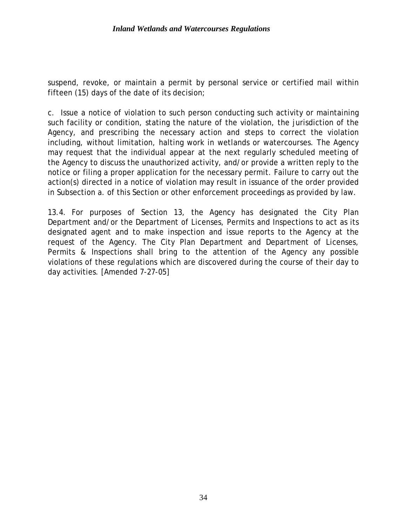suspend, revoke, or maintain a permit by personal service or certified mail within fifteen (15) days of the date of its decision;

c. Issue a notice of violation to such person conducting such activity or maintaining such facility or condition, stating the nature of the violation, the jurisdiction of the Agency, and prescribing the necessary action and steps to correct the violation including, without limitation, halting work in wetlands or watercourses. The Agency may request that the individual appear at the next regularly scheduled meeting of the Agency to discuss the unauthorized activity, and/or provide a written reply to the notice or filing a proper application for the necessary permit. Failure to carry out the action(s) directed in a notice of violation may result in issuance of the order provided in Subsection a. of this Section or other enforcement proceedings as provided by law.

13.4. For purposes of Section 13, the Agency has designated the City Plan Department and/or the Department of Licenses, Permits and Inspections to act as its designated agent and to make inspection and issue reports to the Agency at the request of the Agency. The City Plan Department and Department of Licenses, Permits & Inspections shall bring to the attention of the Agency any possible violations of these regulations which are discovered during the course of their day to day activities. [Amended 7-27-05]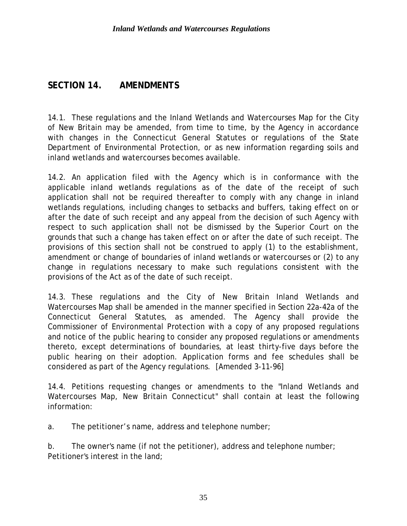### **SECTION 14. AMENDMENTS**

14.1. These regulations and the Inland Wetlands and Watercourses Map for the City of New Britain may be amended, from time to time, by the Agency in accordance with changes in the Connecticut General Statutes or regulations of the State Department of Environmental Protection, or as new information regarding soils and inland wetlands and watercourses becomes available.

14.2. An application filed with the Agency which is in conformance with the applicable inland wetlands regulations as of the date of the receipt of such application shall not be required thereafter to comply with any change in inland wetlands regulations, including changes to setbacks and buffers, taking effect on or after the date of such receipt and any appeal from the decision of such Agency with respect to such application shall not be dismissed by the Superior Court on the grounds that such a change has taken effect on or after the date of such receipt. The provisions of this section shall not be construed to apply (1) to the establishment, amendment or change of boundaries of inland wetlands or watercourses or (2) to any change in regulations necessary to make such regulations consistent with the provisions of the Act as of the date of such receipt.

14.3. These regulations and the City of New Britain Inland Wetlands and Watercourses Map shall be amended in the manner specified in Section 22a-42a of the Connecticut General Statutes, as amended. The Agency shall provide the Commissioner of Environmental Protection with a copy of any proposed regulations and notice of the public hearing to consider any proposed regulations or amendments thereto, except determinations of boundaries, at least thirty-five days before the public hearing on their adoption. Application forms and fee schedules shall be considered as part of the Agency regulations. [Amended 3-11-96]

14.4. Petitions requesting changes or amendments to the "Inland Wetlands and Watercourses Map, New Britain Connecticut" shall contain at least the following information:

a. The petitioner's name, address and telephone number;

b. The owner's name (if not the petitioner), address and telephone number; Petitioner's interest in the land;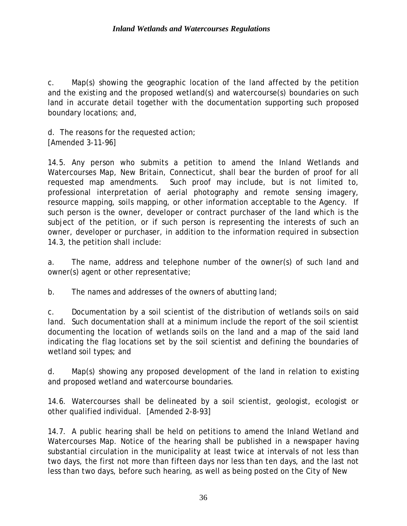c. Map(s) showing the geographic location of the land affected by the petition and the existing and the proposed wetland(s) and watercourse(s) boundaries on such land in accurate detail together with the documentation supporting such proposed boundary locations; and,

d. The reasons for the requested action; [Amended 3-11-96]

14.5. Any person who submits a petition to amend the Inland Wetlands and Watercourses Map, New Britain, Connecticut, shall bear the burden of proof for all requested map amendments. Such proof may include, but is not limited to, professional interpretation of aerial photography and remote sensing imagery, resource mapping, soils mapping, or other information acceptable to the Agency. If such person is the owner, developer or contract purchaser of the land which is the subject of the petition, or if such person is representing the interests of such an owner, developer or purchaser, in addition to the information required in subsection 14.3, the petition shall include:

a. The name, address and telephone number of the owner(s) of such land and owner(s) agent or other representative;

b. The names and addresses of the owners of abutting land;

c. Documentation by a soil scientist of the distribution of wetlands soils on said land. Such documentation shall at a minimum include the report of the soil scientist documenting the location of wetlands soils on the land and a map of the said land indicating the flag locations set by the soil scientist and defining the boundaries of wetland soil types; and

d. Map(s) showing any proposed development of the land in relation to existing and proposed wetland and watercourse boundaries.

14.6. Watercourses shall be delineated by a soil scientist, geologist, ecologist or other qualified individual. [Amended 2-8-93]

14.7. A public hearing shall be held on petitions to amend the Inland Wetland and Watercourses Map. Notice of the hearing shall be published in a newspaper having substantial circulation in the municipality at least twice at intervals of not less than two days, the first not more than fifteen days nor less than ten days, and the last not less than two days, before such hearing, as well as being posted on the City of New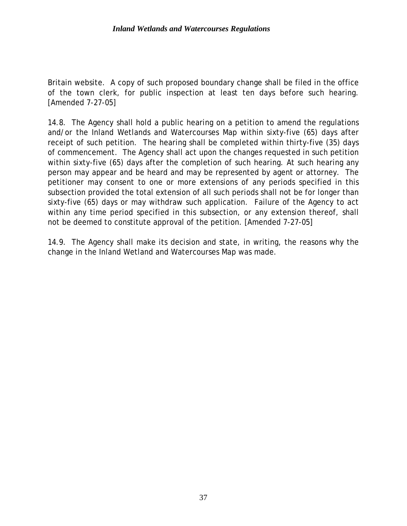Britain website. A copy of such proposed boundary change shall be filed in the office of the town clerk, for public inspection at least ten days before such hearing. [Amended 7-27-05]

14.8. The Agency shall hold a public hearing on a petition to amend the regulations and/or the Inland Wetlands and Watercourses Map within sixty-five (65) days after receipt of such petition. The hearing shall be completed within thirty-five (35) days of commencement. The Agency shall act upon the changes requested in such petition within sixty-five (65) days after the completion of such hearing. At such hearing any person may appear and be heard and may be represented by agent or attorney. The petitioner may consent to one or more extensions of any periods specified in this subsection provided the total extension of all such periods shall not be for longer than sixty-five (65) days or may withdraw such application. Failure of the Agency to act within any time period specified in this subsection, or any extension thereof, shall not be deemed to constitute approval of the petition. [Amended 7-27-05]

14.9. The Agency shall make its decision and state, in writing, the reasons why the change in the Inland Wetland and Watercourses Map was made.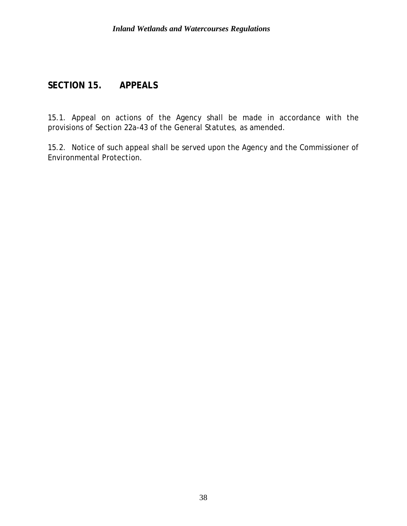## **SECTION 15. APPEALS**

15.1. Appeal on actions of the Agency shall be made in accordance with the provisions of Section 22a-43 of the General Statutes, as amended.

15.2. Notice of such appeal shall be served upon the Agency and the Commissioner of Environmental Protection.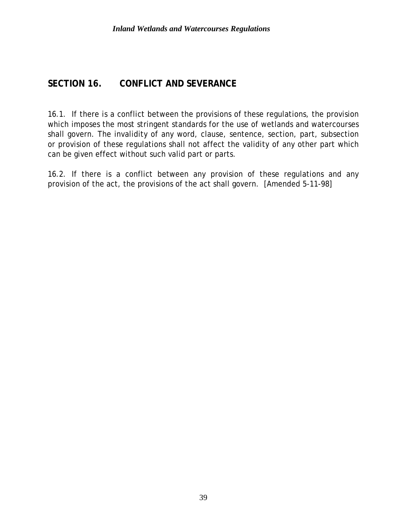### **SECTION 16. CONFLICT AND SEVERANCE**

16.1. If there is a conflict between the provisions of these regulations, the provision which imposes the most stringent standards for the use of wetlands and watercourses shall govern. The invalidity of any word, clause, sentence, section, part, subsection or provision of these regulations shall not affect the validity of any other part which can be given effect without such valid part or parts.

16.2. If there is a conflict between any provision of these regulations and any provision of the act, the provisions of the act shall govern. [Amended 5-11-98]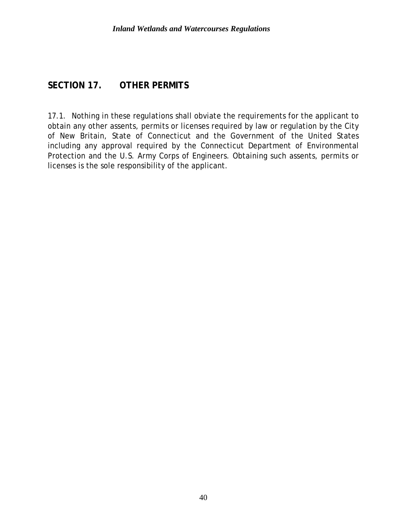#### **SECTION 17. OTHER PERMITS**

17.1. Nothing in these regulations shall obviate the requirements for the applicant to obtain any other assents, permits or licenses required by law or regulation by the City of New Britain, State of Connecticut and the Government of the United States including any approval required by the Connecticut Department of Environmental Protection and the U.S. Army Corps of Engineers. Obtaining such assents, permits or licenses is the sole responsibility of the applicant.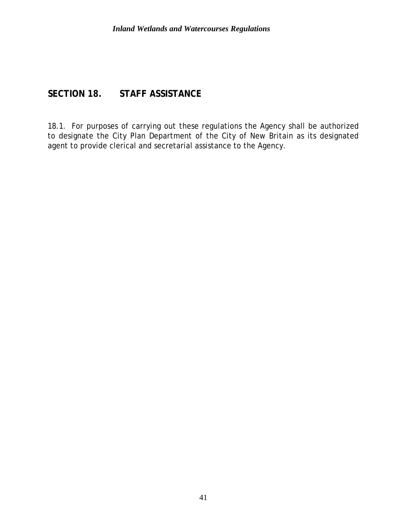### **SECTION 18. STAFF ASSISTANCE**

18.1. For purposes of carrying out these regulations the Agency shall be authorized to designate the City Plan Department of the City of New Britain as its designated agent to provide clerical and secretarial assistance to the Agency.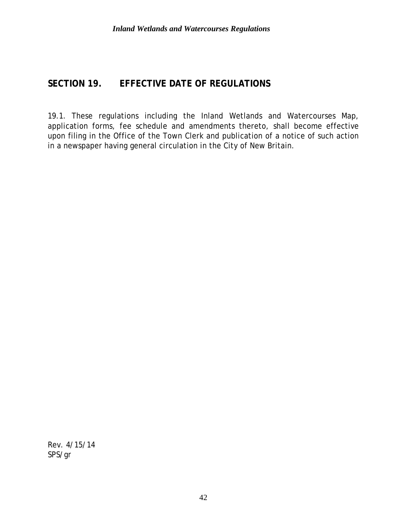## **SECTION 19. EFFECTIVE DATE OF REGULATIONS**

19.1. These regulations including the Inland Wetlands and Watercourses Map, application forms, fee schedule and amendments thereto, shall become effective upon filing in the Office of the Town Clerk and publication of a notice of such action in a newspaper having general circulation in the City of New Britain.

Rev. 4/15/14 SPS/gr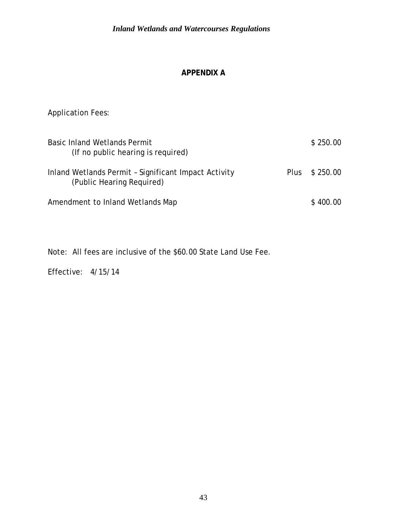#### **APPENDIX A**

Application Fees:

| <b>Basic Inland Wetlands Permit</b><br>(If no public hearing is required)         |             | \$250.00 |
|-----------------------------------------------------------------------------------|-------------|----------|
| Inland Wetlands Permit - Significant Impact Activity<br>(Public Hearing Required) | <b>Plus</b> | \$250.00 |
| Amendment to Inland Wetlands Map                                                  |             | \$400.00 |

Note: All fees are inclusive of the \$60.00 State Land Use Fee.

Effective: 4/15/14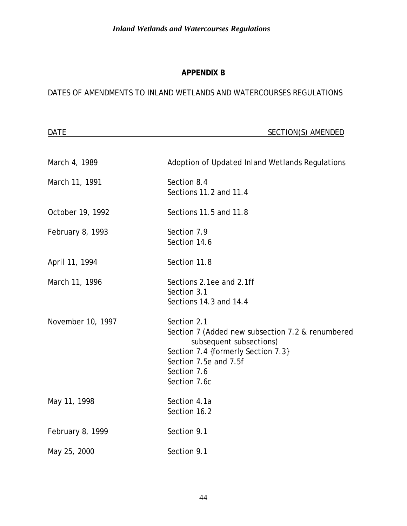#### **APPENDIX B**

#### DATES OF AMENDMENTS TO INLAND WETLANDS AND WATERCOURSES REGULATIONS

| <b>DATE</b>       | <b>SECTION(S) AMENDED</b>                                                                                                                                                                |
|-------------------|------------------------------------------------------------------------------------------------------------------------------------------------------------------------------------------|
| March 4, 1989     | Adoption of Updated Inland Wetlands Regulations                                                                                                                                          |
| March 11, 1991    | Section 8.4<br>Sections 11.2 and 11.4                                                                                                                                                    |
| October 19, 1992  | Sections 11.5 and 11.8                                                                                                                                                                   |
| February 8, 1993  | Section 7.9<br>Section 14.6                                                                                                                                                              |
| April 11, 1994    | Section 11.8                                                                                                                                                                             |
| March 11, 1996    | Sections 2.1ee and 2.1ff<br>Section 3.1<br>Sections 14.3 and 14.4                                                                                                                        |
| November 10, 1997 | Section 2.1<br>Section 7 (Added new subsection 7.2 & renumbered<br>subsequent subsections)<br>Section 7.4 {formerly Section 7.3}<br>Section 7.5e and 7.5f<br>Section 7.6<br>Section 7.6c |
| May 11, 1998      | Section 4.1a<br>Section 16.2                                                                                                                                                             |
| February 8, 1999  | Section 9.1                                                                                                                                                                              |
| May 25, 2000      | Section 9.1                                                                                                                                                                              |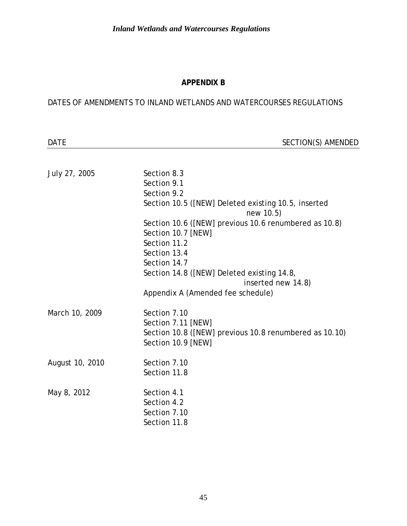#### **APPENDIX B**

#### DATES OF AMENDMENTS TO INLAND WETLANDS AND WATERCOURSES REGULATIONS

DATE SECTION(S) AMENDED

| July 27, 2005   | Section 8.3<br>Section 9.1<br>Section 9.2<br>Section 10.5 ([NEW] Deleted existing 10.5, inserted<br>new 10.5) |
|-----------------|---------------------------------------------------------------------------------------------------------------|
|                 | Section 10.6 ([NEW] previous 10.6 renumbered as 10.8)<br>Section 10.7 [NEW]                                   |
|                 | Section 11.2                                                                                                  |
|                 | Section 13.4<br>Section 14.7                                                                                  |
|                 | Section 14.8 ([NEW] Deleted existing 14.8,<br>inserted new 14.8)                                              |
|                 | Appendix A (Amended fee schedule)                                                                             |
|                 |                                                                                                               |
| March 10, 2009  | Section 7.10                                                                                                  |
|                 | Section 7.11 [NEW]                                                                                            |
|                 | Section 10.8 ([NEW] previous 10.8 renumbered as 10.10)<br>Section 10.9 [NEW]                                  |
|                 |                                                                                                               |
| August 10, 2010 | Section 7.10                                                                                                  |
|                 | Section 11.8                                                                                                  |
|                 |                                                                                                               |
| May 8, 2012     | Section 4.1                                                                                                   |
|                 | Section 4.2                                                                                                   |
|                 | Section 7.10<br>Section 11.8                                                                                  |
|                 |                                                                                                               |